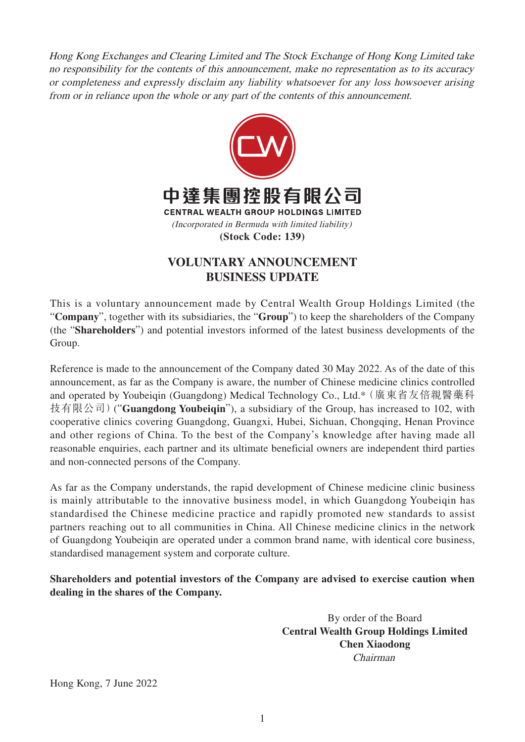Hong Kong Exchanges and Clearing Limited and The Stock Exchange of Hong Kong Limited take no responsibility for the contents of this announcement, make no representation as to its accuracy or completeness and expressly disclaim any liability whatsoever for any loss howsoever arising from or in reliance upon the whole or any part of the contents of this announcement.



## **VOLUNTARY ANNOUNCEMENT BUSINESS UPDATE**

This is a voluntary announcement made by Central Wealth Group Holdings Limited (the "**Company**", together with its subsidiaries, the "**Group**") to keep the shareholders of the Company (the "**Shareholders**") and potential investors informed of the latest business developments of the Group.

Reference is made to the announcement of the Company dated 30 May 2022. As of the date of this announcement, as far as the Company is aware, the number of Chinese medicine clinics controlled and operated by Youbeiqin (Guangdong) Medical Technology Co., Ltd.\*(廣東省友倍親醫藥科 技有限公司)("**Guangdong Youbeiqin**"), a subsidiary of the Group, has increased to 102, with cooperative clinics covering Guangdong, Guangxi, Hubei, Sichuan, Chongqing, Henan Province and other regions of China. To the best of the Company's knowledge after having made all reasonable enquiries, each partner and its ultimate beneficial owners are independent third parties and non-connected persons of the Company.

As far as the Company understands, the rapid development of Chinese medicine clinic business is mainly attributable to the innovative business model, in which Guangdong Youbeiqin has standardised the Chinese medicine practice and rapidly promoted new standards to assist partners reaching out to all communities in China. All Chinese medicine clinics in the network of Guangdong Youbeiqin are operated under a common brand name, with identical core business, standardised management system and corporate culture.

**Shareholders and potential investors of the Company are advised to exercise caution when dealing in the shares of the Company.**

> By order of the Board **Central Wealth Group Holdings Limited Chen Xiaodong** Chairman

Hong Kong, 7 June 2022